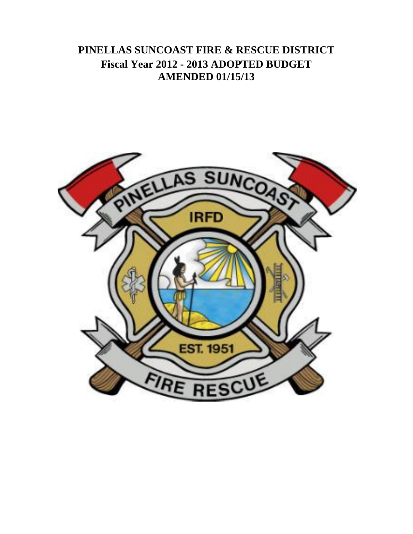**PINELLAS SUNCOAST FIRE & RESCUE DISTRICT Fiscal Year 2012 - 2013 ADOPTED BUDGET AMENDED 01/15/13**

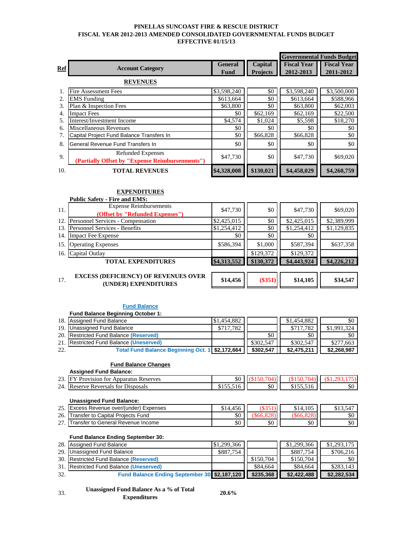# **PINELLAS SUNCOAST FIRE & RESCUE DISTRICT FISCAL YEAR 2012-2013 AMENDED CONSOLIDATED GOVERNMENTAL FUNDS BUDGET EFFECTIVE 01/15/13**

|            |                                                 | <b>Governmental Funds Budget</b> |                 |                    |                    |
|------------|-------------------------------------------------|----------------------------------|-----------------|--------------------|--------------------|
| <b>Ref</b> | <b>Account Category</b>                         | <b>General</b>                   | Capital         | <b>Fiscal Year</b> | <b>Fiscal Year</b> |
|            |                                                 | Fund                             | <b>Projects</b> | 2012-2013          | 2011-2012          |
|            | <b>REVENUES</b>                                 |                                  |                 |                    |                    |
|            | <b>Fire Assessment Fees</b>                     | \$3,598,240                      | \$0             | \$3,598,240        | \$3,500,000        |
| 2.         | <b>EMS</b> Funding                              | \$613,664                        | \$0             | \$613,664          | \$588,966          |
| 3.         | Plan & Inspection Fees                          | \$63,800                         | \$0             | \$63,800           | \$62,003           |
| 4.         | <b>Impact Fees</b>                              | \$0                              | \$62,169        | \$62,169           | \$22,500           |
| 5.         | Interest/Investment Income                      | \$4,574                          | \$1,024         | \$5,598            | \$18,270           |
| 6.         | Miscellaneous Revenues                          | \$0                              | \$0             | \$0                | \$0                |
| 7.         | Capital Project Fund Balance Transfers In       | \$0                              | \$66,828        | \$66,828           | \$0                |
| 8.         | General Revenue Fund Transfers In               | \$0                              | \$0             | \$0                | \$0                |
| 9.         | <b>Refunded Expenses</b>                        | \$47,730                         | \$0             | \$47,730           | \$69,020           |
|            | (Partially Offset by "Expense Reimbursenments") |                                  |                 |                    |                    |
| 10.        | <b>TOTAL REVENUES</b>                           | \$4,328,008                      | \$130,021       | \$4,458,029        | \$4,260,759        |

# **EXPENDITURES**

|     | <b>Public Safety - Fire and EMS:</b>                                |             |           |             |             |
|-----|---------------------------------------------------------------------|-------------|-----------|-------------|-------------|
| 11. | <b>Expense Reimbursements</b>                                       | \$47,730    | \$0       | \$47,730    | \$69,020    |
|     | (Offset by "Refunded Expenses")                                     |             |           |             |             |
| 12. | Personnel Services - Compensation                                   | \$2,425,015 | \$0       | \$2,425,015 | \$2,389,999 |
| 13. | Personnel Services - Benefits                                       | \$1,254,412 | \$0       | \$1,254,412 | \$1,129,835 |
| 14. | <b>Impact Fee Expense</b>                                           | \$0         | \$0       | \$0         |             |
| 15. | <b>Operating Expenses</b>                                           | \$586,394   | \$1,000   | \$587,394   | \$637,358   |
| 16. | Capital Outlay                                                      |             | \$129,372 | \$129,372   |             |
|     | <b>TOTAL EXPENDITURES</b>                                           | \$4,313,552 | \$130,372 | \$4,443,924 | \$4,226,212 |
|     |                                                                     |             |           |             |             |
| 17. | <b>EXCESS (DEFICIENCY) OF REVENUES OVER</b><br>(UNDER) EXPENDITURES | \$14,456    | $(\$351)$ | \$14,105    | \$34,547    |

#### **Fund Balance**

# **Fund Balance Beginning October 1:** 18. Assigned Fund Balance \$1,454,882 \$1,454,882 \$0 19. Unassigned Fund Balance **19. Unassigned Fund Balance (Reserved)** \$717,782 \$717,782 \$1,991,324 \$1,991,324 \$1,991,324 20. Restricted Fund Balance (Reserved) **19. In the South America** South Assemblance of the South Assemblance of South Assemblance of South Assemblance of Reserved) 30 and 30 and 30 and 30 and 30 and 30 and 30 and 30 and 30 21. Restricted Fund Balance (Uneserved)<br>22. **Total Fund Balance Beginning Oct. 1** \$2,172,664 \$302,547 \$2,475,211 \$2,268,987 22. **Total Fund Balance Beginning Oct. 1 \$2,172,664 \$302,547 \$2,475,211 \$2,268,987**

#### **Fund Balance Changes**

# **Assigned Fund Balance:**

| - -<br>24<br>Disposals<br>Reversals<br>tor<br>corr<br>к<br>. | ሶሳ<br>эU | .DU |
|--------------------------------------------------------------|----------|-----|

#### **Unassigned Fund Balance:**

| $\cap \subset$ | Excess Revenue over/(under) Expenses | 15C<br>14.430 |     | \$14,105 |          |
|----------------|--------------------------------------|---------------|-----|----------|----------|
| 26.            | Transfer to Capital Projects Fund    | ሶሰ<br>эU      |     |          | \$0      |
| $\sim$         | ITransfer to General Revenue Income  | \$0           | \$0 | \$0      | ሶስ<br>эU |

### **Fund Balance Ending September 30:**

|     | 28. Assigned Fund Balance                              | \$1,299,366 |           | \$1,299,366 | \$1,293,175 |
|-----|--------------------------------------------------------|-------------|-----------|-------------|-------------|
|     | 29. Unassigned Fund Balance                            | \$887,754   |           | \$887.754   | \$706.216   |
|     | 30. Restricted Fund Balance (Reserved)                 |             | \$150.704 | \$150,704   | \$0         |
|     | 31. Restricted Fund Balance (Uneserved)                |             | \$84.664  | \$84,664    | \$283.143   |
| 32. | Fund Balance Ending September 30 \$2,187,120 \$235,368 |             |           | \$2,422,488 | \$2.282.534 |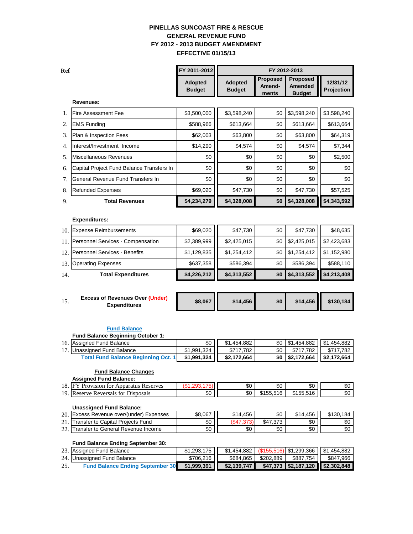# **PINELLAS SUNCOAST FIRE & RESCUE GENERAL REVENUE FUND FY 2012 - 2013 BUDGET AMENDMENT EFFECTIVE 01/15/13**

| <b>Ref</b> |                                           | FY 2011-2012                    |                                 |                                    | FY 2012-2013                                       |                        |
|------------|-------------------------------------------|---------------------------------|---------------------------------|------------------------------------|----------------------------------------------------|------------------------|
|            |                                           | <b>Adopted</b><br><b>Budget</b> | <b>Adopted</b><br><b>Budget</b> | <b>Proposed</b><br>Amend-<br>ments | <b>Proposed</b><br><b>Amended</b><br><b>Budget</b> | 12/31/12<br>Projection |
|            | Revenues:                                 |                                 |                                 |                                    |                                                    |                        |
| 1.         | <b>Fire Assessment Fee</b>                | \$3,500,000                     | \$3,598,240                     | \$0                                | \$3,598,240                                        | \$3,598,240            |
| 2.         | <b>EMS Funding</b>                        | \$588,966                       | \$613,664                       | \$0                                | \$613,664                                          | \$613,664              |
| 3.         | Plan & Inspection Fees                    | \$62,003                        | \$63,800                        | \$0                                | \$63,800                                           | \$64,319               |
| 4.         | Interest/Investment Income                | \$14,290                        | \$4,574                         | \$0                                | \$4,574                                            | \$7,344                |
| 5.         | Miscellaneous Revenues                    | \$0                             | \$0                             | \$0                                | \$0                                                | \$2,500                |
| 6.         | Capital Project Fund Balance Transfers In | \$0                             | \$0                             | \$0                                | \$0                                                | \$0                    |
| 7.         | General Revenue Fund Transfers In         | \$0                             | \$0                             | \$0                                | \$0                                                | \$0                    |
| 8.         | <b>Refunded Expenses</b>                  | \$69,020                        | \$47,730                        | \$0                                | \$47,730                                           | \$57,525               |
| 9.         | <b>Total Revenues</b>                     | \$4,234,279                     | \$4,328,008                     | \$0                                | \$4,328,008                                        | \$4,343,592            |
|            | <b>Expenditures:</b>                      |                                 |                                 |                                    |                                                    |                        |
| 10.        | <b>Expense Reimbursements</b>             | \$69,020                        | \$47,730                        | \$0                                | \$47,730                                           | \$48,635               |
| 11.        | Personnel Services - Compensation         | \$2,389,999                     | \$2,425,015                     | \$0                                | \$2,425,015                                        | \$2,423,683            |
| 12.        | <b>Personnel Services - Benefits</b>      | \$1,129,835                     | \$1,254,412                     | \$0                                | \$1,254,412                                        | \$1,152,980            |
| 13.        | <b>Operating Expenses</b>                 | \$637,358                       | \$586,394                       | \$0                                | \$586,394                                          | \$588,110              |
| 14.        | <b>Total Expenditures</b>                 | \$4,226,212                     | \$4,313,552                     | \$0                                | \$4,313,552                                        | \$4,213,408            |

| <b>Excess of Revenues Over (Under)</b><br><br><b>Expenditures</b> | \$8,067 | \$14.456 | \$0 |  | $$14,456$   \$130,184 |
|-------------------------------------------------------------------|---------|----------|-----|--|-----------------------|
|-------------------------------------------------------------------|---------|----------|-----|--|-----------------------|

# **Fund Balance**

| <b>Fund Balance Beginning October 1:</b>                |  |
|---------------------------------------------------------|--|
| $\sim$ $\sim$ $\sim$ $\sim$ $\sim$ $\sim$ $\sim$ $\sim$ |  |

| 16. Assigned Fund Balance                  | \$0 I I        | \$1.454.882 <b>I</b> |               | \$0   \$1,454,882     \$1,454,882         |
|--------------------------------------------|----------------|----------------------|---------------|-------------------------------------------|
| 17. Unassigned Fund Balance                | \$1.991.324 II | \$717.782            | \$717.782 III | S717.782 I                                |
| <b>Total Fund Balance Beginning Oct. 1</b> | \$1,991,324 II | \$2.172.664          |               | $$0 \mid $2,172,664 \mid $2,172,664 \mid$ |

#### **Fund Balance Changes**

| <b>Assigned Fund Balance:</b>           |     |     |           |           |         |
|-----------------------------------------|-----|-----|-----------|-----------|---------|
| 18. FY Provision for Apparatus Reserves |     | \$0 | \$0       | \$0       | ጦ<br>ა∪ |
| 19<br>. Reserve Reversals for Disposals | \$0 | \$0 | \$155.516 | \$155.516 | \$0     |

## **Unassigned Fund Balance:**

|           | 20. Excess Revenue over/(under) Expenses | \$8.067  | \$14.456 | \$0   | \$14,456 | \$130.184 |
|-----------|------------------------------------------|----------|----------|-------|----------|-----------|
| $^{\sim}$ | Transfer to Capital Proiects Fund        | \$0      |          | \$47. | \$0      | \$0       |
| $\sim$    | Transfer to General Revenue Income       | ሶሰ<br>ΦU | \$0      | \$0   | \$0      | \$0       |

#### **Fund Balance Ending September 30:**

|     | 23. Assigned Fund Balance               | \$1.293.175 |             |                       |                                     | $$1,454,882$ (\$155,516) \$1,299,366   \$1,454,882 |
|-----|-----------------------------------------|-------------|-------------|-----------------------|-------------------------------------|----------------------------------------------------|
|     | 24. Unassigned Fund Balance             | \$706.216   |             | \$684.865   \$202.889 | \$887.754 L                         | \$847.966                                          |
| 25. | <b>Fund Balance Ending September 30</b> | \$1,999,391 | \$2.139.747 |                       | $$47,373$ $$2,187,120$ $$2,302,848$ |                                                    |